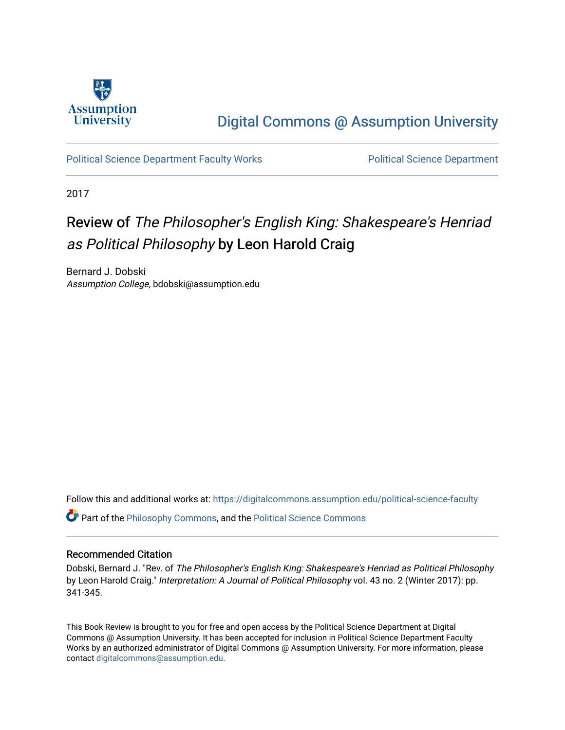

## [Digital Commons @ Assumption University](https://digitalcommons.assumption.edu/)

[Political Science Department Faculty Works](https://digitalcommons.assumption.edu/political-science-faculty) [Political Science Department](https://digitalcommons.assumption.edu/political-science) 

2017

## Review of The Philosopher's English King: Shakespeare's Henriad as Political Philosophy by Leon Harold Craig

Bernard J. Dobski Assumption College, bdobski@assumption.edu

Follow this and additional works at: [https://digitalcommons.assumption.edu/political-science-faculty](https://digitalcommons.assumption.edu/political-science-faculty?utm_source=digitalcommons.assumption.edu%2Fpolitical-science-faculty%2F70&utm_medium=PDF&utm_campaign=PDFCoverPages)

Part of the [Philosophy Commons,](http://network.bepress.com/hgg/discipline/525?utm_source=digitalcommons.assumption.edu%2Fpolitical-science-faculty%2F70&utm_medium=PDF&utm_campaign=PDFCoverPages) and the [Political Science Commons](http://network.bepress.com/hgg/discipline/386?utm_source=digitalcommons.assumption.edu%2Fpolitical-science-faculty%2F70&utm_medium=PDF&utm_campaign=PDFCoverPages) 

## Recommended Citation

Dobski, Bernard J. "Rev. of The Philosopher's English King: Shakespeare's Henriad as Political Philosophy by Leon Harold Craig." Interpretation: A Journal of Political Philosophy vol. 43 no. 2 (Winter 2017): pp. 341-345.

This Book Review is brought to you for free and open access by the Political Science Department at Digital Commons @ Assumption University. It has been accepted for inclusion in Political Science Department Faculty Works by an authorized administrator of Digital Commons @ Assumption University. For more information, please contact [digitalcommons@assumption.edu.](mailto:digitalcommons@assumption.edu)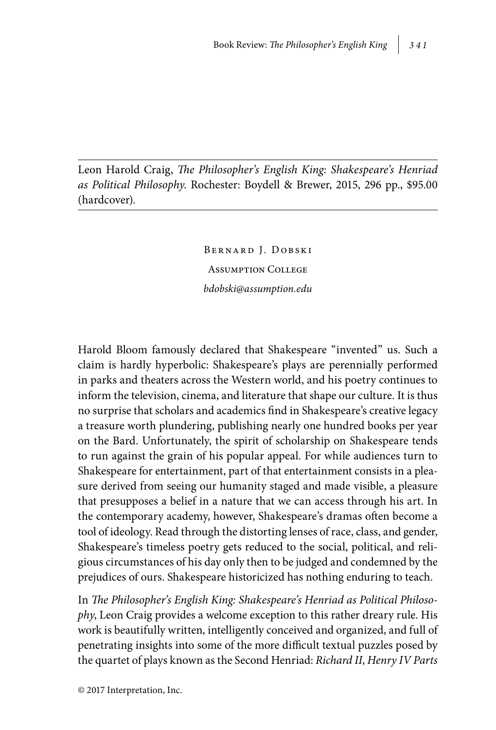Leon Harold Craig, *The Philosopher's English King: Shakespeare's Henriad as Political Philosophy*. Rochester: Boydell & Brewer, 2015, 296 pp., \$95.00 (hardcover).

> Bernard J. Dobski Assumption College *bdobski@assumption.edu*

Harold Bloom famously declared that Shakespeare "invented" us. Such a claim is hardly hyperbolic: Shakespeare's plays are perennially performed in parks and theaters across the Western world, and his poetry continues to inform the television, cinema, and literature that shape our culture. It is thus no surprise that scholars and academics find in Shakespeare's creative legacy a treasure worth plundering, publishing nearly one hundred books per year on the Bard. Unfortunately, the spirit of scholarship on Shakespeare tends to run against the grain of his popular appeal. For while audiences turn to Shakespeare for entertainment, part of that entertainment consists in a pleasure derived from seeing our humanity staged and made visible, a pleasure that presupposes a belief in a nature that we can access through his art. In the contemporary academy, however, Shakespeare's dramas often become a tool of ideology. Read through the distorting lenses of race, class, and gender, Shakespeare's timeless poetry gets reduced to the social, political, and religious circumstances of his day only then to be judged and condemned by the prejudices of ours. Shakespeare historicized has nothing enduring to teach.

In *The Philosopher's English King: Shakespeare's Henriad as Political Philosophy*, Leon Craig provides a welcome exception to this rather dreary rule. His work is beautifully written, intelligently conceived and organized, and full of penetrating insights into some of the more difficult textual puzzles posed by the quartet of plays known as the Second Henriad: *Richard II*, *Henry IV Parts*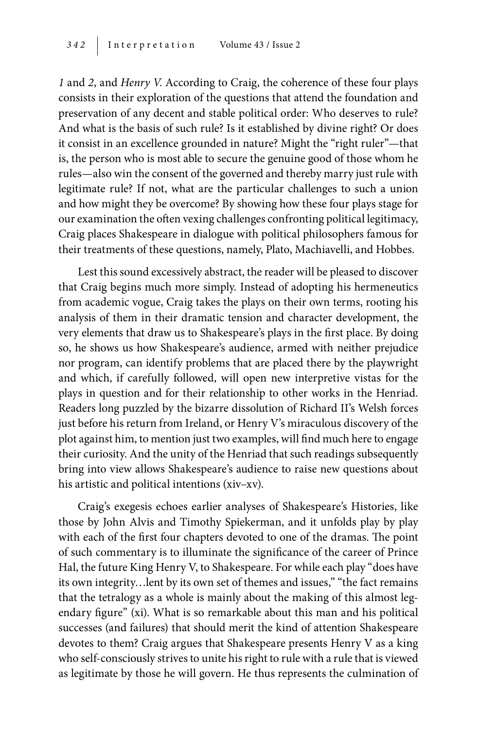*1* and *2*, and *Henry V*. According to Craig, the coherence of these four plays consists in their exploration of the questions that attend the foundation and preservation of any decent and stable political order: Who deserves to rule? And what is the basis of such rule? Is it established by divine right? Or does it consist in an excellence grounded in nature? Might the "right ruler"—that is, the person who is most able to secure the genuine good of those whom he rules—also win the consent of the governed and thereby marry just rule with legitimate rule? If not, what are the particular challenges to such a union and how might they be overcome? By showing how these four plays stage for our examination the often vexing challenges confronting political legitimacy, Craig places Shakespeare in dialogue with political philosophers famous for their treatments of these questions, namely, Plato, Machiavelli, and Hobbes.

Lest this sound excessively abstract, the reader will be pleased to discover that Craig begins much more simply. Instead of adopting his hermeneutics from academic vogue, Craig takes the plays on their own terms, rooting his analysis of them in their dramatic tension and character development, the very elements that draw us to Shakespeare's plays in the first place. By doing so, he shows us how Shakespeare's audience, armed with neither prejudice nor program, can identify problems that are placed there by the playwright and which, if carefully followed, will open new interpretive vistas for the plays in question and for their relationship to other works in the Henriad. Readers long puzzled by the bizarre dissolution of Richard II's Welsh forces just before his return from Ireland, or Henry V's miraculous discovery of the plot against him, to mention just two examples, will find much here to engage their curiosity. And the unity of the Henriad that such readings subsequently bring into view allows Shakespeare's audience to raise new questions about his artistic and political intentions (xiv–xv).

Craig's exegesis echoes earlier analyses of Shakespeare's Histories, like those by John Alvis and Timothy Spiekerman, and it unfolds play by play with each of the first four chapters devoted to one of the dramas. The point of such commentary is to illuminate the significance of the career of Prince Hal, the future King Henry V, to Shakespeare. For while each play "does have its own integrity…lent by its own set of themes and issues," "the fact remains that the tetralogy as a whole is mainly about the making of this almost legendary figure" (xi). What is so remarkable about this man and his political successes (and failures) that should merit the kind of attention Shakespeare devotes to them? Craig argues that Shakespeare presents Henry V as a king who self-consciously strives to unite his right to rule with a rule that is viewed as legitimate by those he will govern. He thus represents the culmination of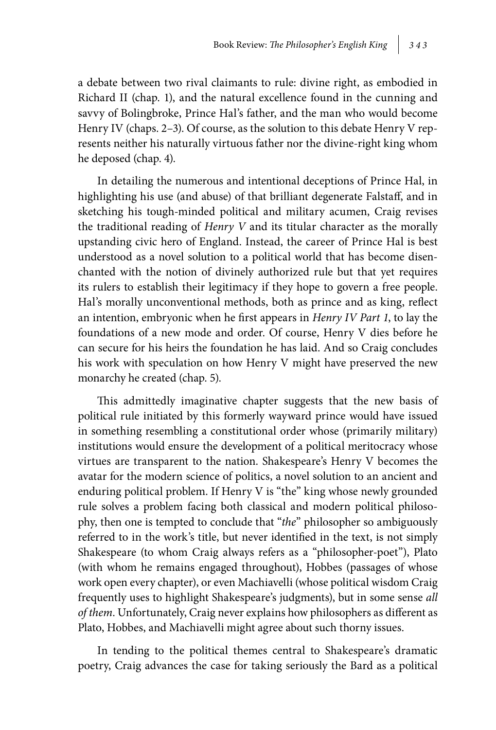a debate between two rival claimants to rule: divine right, as embodied in Richard II (chap. 1), and the natural excellence found in the cunning and savvy of Bolingbroke, Prince Hal's father, and the man who would become Henry IV (chaps. 2–3). Of course, as the solution to this debate Henry V represents neither his naturally virtuous father nor the divine-right king whom he deposed (chap. 4).

In detailing the numerous and intentional deceptions of Prince Hal, in highlighting his use (and abuse) of that brilliant degenerate Falstaff, and in sketching his tough-minded political and military acumen, Craig revises the traditional reading of *Henry V* and its titular character as the morally upstanding civic hero of England. Instead, the career of Prince Hal is best understood as a novel solution to a political world that has become disenchanted with the notion of divinely authorized rule but that yet requires its rulers to establish their legitimacy if they hope to govern a free people. Hal's morally unconventional methods, both as prince and as king, reflect an intention, embryonic when he first appears in *Henry IV Part 1*, to lay the foundations of a new mode and order. Of course, Henry V dies before he can secure for his heirs the foundation he has laid. And so Craig concludes his work with speculation on how Henry V might have preserved the new monarchy he created (chap. 5).

This admittedly imaginative chapter suggests that the new basis of political rule initiated by this formerly wayward prince would have issued in something resembling a constitutional order whose (primarily military) institutions would ensure the development of a political meritocracy whose virtues are transparent to the nation. Shakespeare's Henry V becomes the avatar for the modern science of politics, a novel solution to an ancient and enduring political problem. If Henry V is "the" king whose newly grounded rule solves a problem facing both classical and modern political philosophy, then one is tempted to conclude that "*the*" philosopher so ambiguously referred to in the work's title, but never identified in the text, is not simply Shakespeare (to whom Craig always refers as a "philosopher-poet"), Plato (with whom he remains engaged throughout), Hobbes (passages of whose work open every chapter), or even Machiavelli (whose political wisdom Craig frequently uses to highlight Shakespeare's judgments), but in some sense *all of them*. Unfortunately, Craig never explains how philosophers as different as Plato, Hobbes, and Machiavelli might agree about such thorny issues.

In tending to the political themes central to Shakespeare's dramatic poetry, Craig advances the case for taking seriously the Bard as a political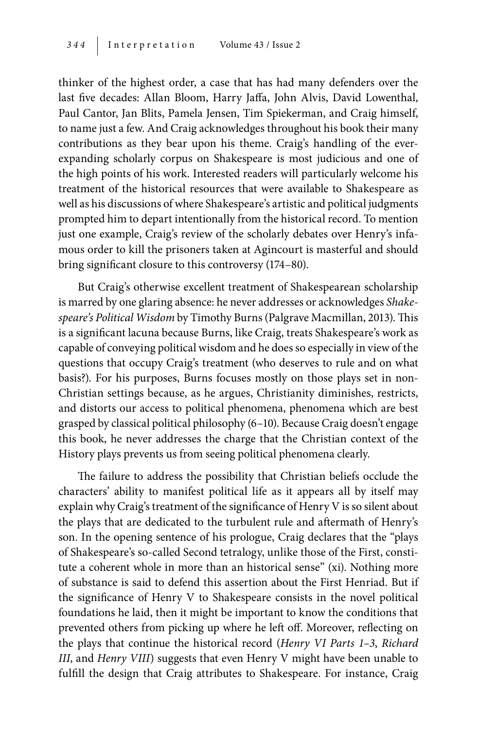thinker of the highest order, a case that has had many defenders over the last five decades: Allan Bloom, Harry Jaffa, John Alvis, David Lowenthal, Paul Cantor, Jan Blits, Pamela Jensen, Tim Spiekerman, and Craig himself, to name just a few. And Craig acknowledges throughout his book their many contributions as they bear upon his theme. Craig's handling of the everexpanding scholarly corpus on Shakespeare is most judicious and one of the high points of his work. Interested readers will particularly welcome his treatment of the historical resources that were available to Shakespeare as well as his discussions of where Shakespeare's artistic and political judgments prompted him to depart intentionally from the historical record. To mention just one example, Craig's review of the scholarly debates over Henry's infamous order to kill the prisoners taken at Agincourt is masterful and should bring significant closure to this controversy (174–80).

But Craig's otherwise excellent treatment of Shakespearean scholarship is marred by one glaring absence: he never addresses or acknowledges *Shakespeare's Political Wisdom* by Timothy Burns (Palgrave Macmillan, 2013). This is a significant lacuna because Burns, like Craig, treats Shakespeare's work as capable of conveying political wisdom and he does so especially in view of the questions that occupy Craig's treatment (who deserves to rule and on what basis?). For his purposes, Burns focuses mostly on those plays set in non-Christian settings because, as he argues, Christianity diminishes, restricts, and distorts our access to political phenomena, phenomena which are best grasped by classical political philosophy (6–10). Because Craig doesn't engage this book, he never addresses the charge that the Christian context of the History plays prevents us from seeing political phenomena clearly.

The failure to address the possibility that Christian beliefs occlude the characters' ability to manifest political life as it appears all by itself may explain why Craig's treatment of the significance of Henry V is so silent about the plays that are dedicated to the turbulent rule and aftermath of Henry's son. In the opening sentence of his prologue, Craig declares that the "plays of Shakespeare's so-called Second tetralogy, unlike those of the First, constitute a coherent whole in more than an historical sense" (xi). Nothing more of substance is said to defend this assertion about the First Henriad. But if the significance of Henry V to Shakespeare consists in the novel political foundations he laid, then it might be important to know the conditions that prevented others from picking up where he left off. Moreover, reflecting on the plays that continue the historical record (*Henry VI Parts 1–3*, *Richard III*, and *Henry VIII*) suggests that even Henry V might have been unable to fulfill the design that Craig attributes to Shakespeare. For instance, Craig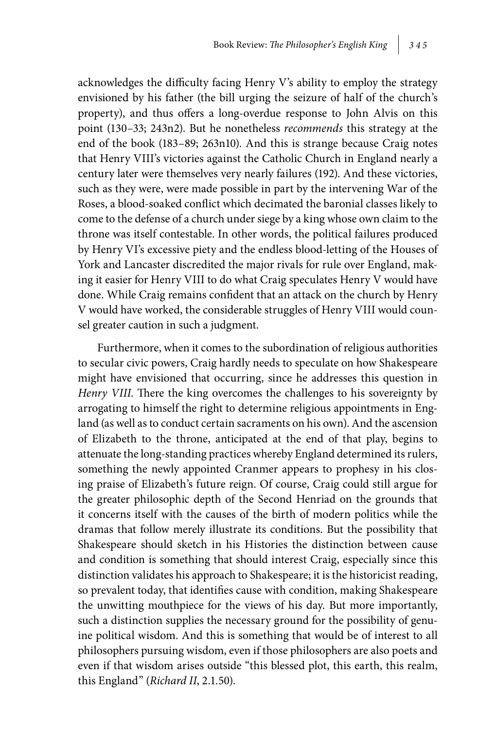acknowledges the difficulty facing Henry V's ability to employ the strategy envisioned by his father (the bill urging the seizure of half of the church's property), and thus offers a long-overdue response to John Alvis on this point (130–33; 243n2). But he nonetheless *recommends* this strategy at the end of the book (183–89; 263n10). And this is strange because Craig notes that Henry VIII's victories against the Catholic Church in England nearly a century later were themselves very nearly failures (192). And these victories, such as they were, were made possible in part by the intervening War of the Roses, a blood-soaked conflict which decimated the baronial classes likely to come to the defense of a church under siege by a king whose own claim to the throne was itself contestable. In other words, the political failures produced by Henry VI's excessive piety and the endless blood-letting of the Houses of York and Lancaster discredited the major rivals for rule over England, making it easier for Henry VIII to do what Craig speculates Henry V would have done. While Craig remains confident that an attack on the church by Henry V would have worked, the considerable struggles of Henry VIII would counsel greater caution in such a judgment.

Furthermore, when it comes to the subordination of religious authorities to secular civic powers, Craig hardly needs to speculate on how Shakespeare might have envisioned that occurring, since he addresses this question in *Henry VIII*. There the king overcomes the challenges to his sovereignty by arrogating to himself the right to determine religious appointments in England (as well as to conduct certain sacraments on his own). And the ascension of Elizabeth to the throne, anticipated at the end of that play, begins to attenuate the long-standing practices whereby England determined its rulers, something the newly appointed Cranmer appears to prophesy in his closing praise of Elizabeth's future reign. Of course, Craig could still argue for the greater philosophic depth of the Second Henriad on the grounds that it concerns itself with the causes of the birth of modern politics while the dramas that follow merely illustrate its conditions. But the possibility that Shakespeare should sketch in his Histories the distinction between cause and condition is something that should interest Craig, especially since this distinction validates his approach to Shakespeare; it is the historicist reading, so prevalent today, that identifies cause with condition, making Shakespeare the unwitting mouthpiece for the views of his day. But more importantly, such a distinction supplies the necessary ground for the possibility of genuine political wisdom. And this is something that would be of interest to all philosophers pursuing wisdom, even if those philosophers are also poets and even if that wisdom arises outside "this blessed plot, this earth, this realm, this England" (*Richard II*, 2.1.50).